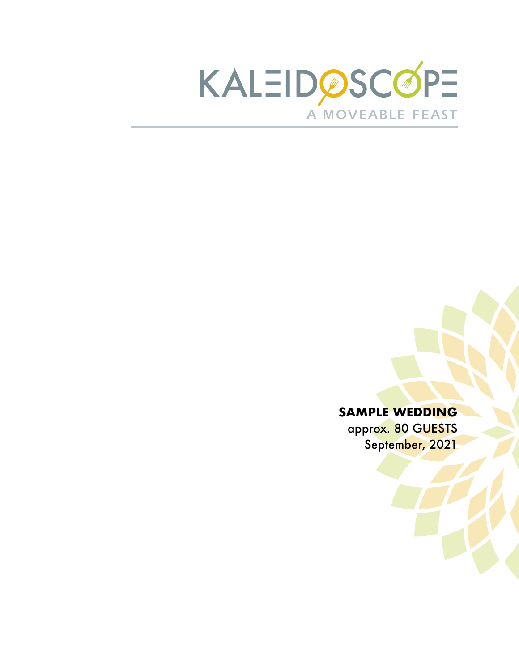

## **SAMPLE WEDDING**

approx. 80 GUESTS September, 2021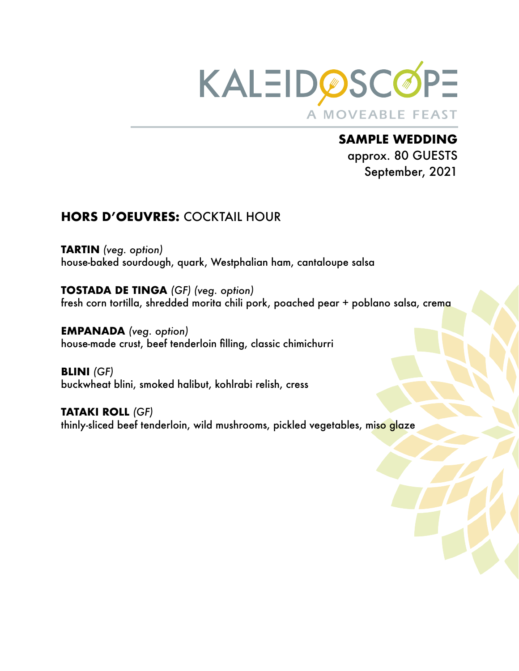

**SAMPLE WEDDING**  approx. 80 GUESTS September, 2021

## **HORS D'OEUVRES:** COCKTAIL HOUR

**TARTIN** *(veg. option)* house-baked sourdough, quark, Westphalian ham, cantaloupe salsa

**TOSTADA DE TINGA** *(GF) (veg. option)* fresh corn tortilla, shredded morita chili pork, poached pear + poblano salsa, crema

**EMPANADA** *(veg. option)* house-made crust, beef tenderloin filling, classic chimichurri

**BLINI** *(GF)* buckwheat blini, smoked halibut, kohlrabi relish, cress

**TATAKI ROLL** *(GF)* thinly-sliced beef tenderloin, wild mushrooms, pickled vegetables, miso glaze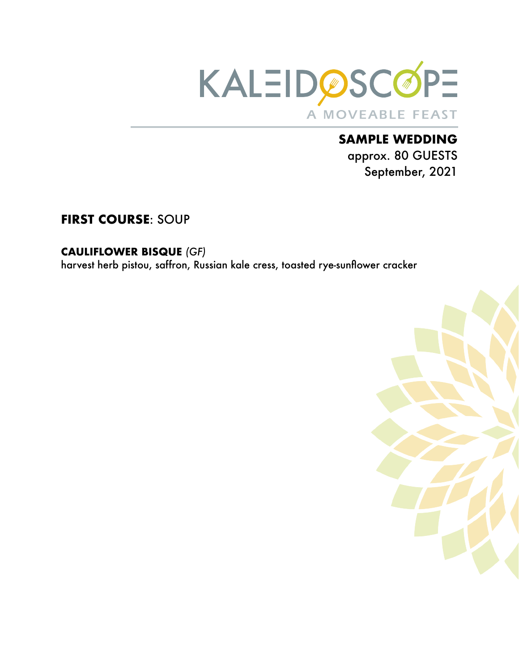

# **SAMPLE WEDDING**  approx. 80 GUESTS September, 2021

# **FIRST COURSE**: SOUP

#### **CAULIFLOWER BISQUE** *(GF)*

harvest herb pistou, saffron, Russian kale cress, toasted rye-sunflower cracker

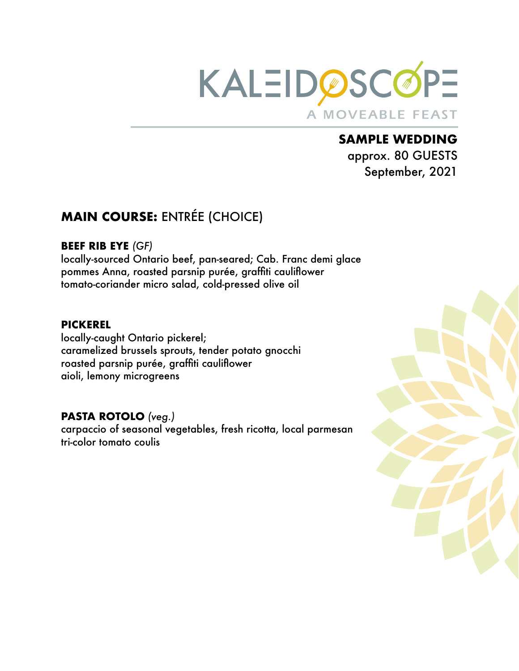

# **SAMPLE WEDDING**  approx. 80 GUESTS

September, 2021

# **MAIN COURSE:** ENTRÉE (CHOICE)

#### **BEEF RIB EYE** *(GF)*

locally-sourced Ontario beef, pan-seared; Cab. Franc demi glace pommes Anna, roasted parsnip purée, graffiti cauliflower tomato-coriander micro salad, cold-pressed olive oil

#### **PICKEREL**

locally-caught Ontario pickerel; caramelized brussels sprouts, tender potato gnocchi roasted parsnip purée, graffiti cauliflower aioli, lemony microgreens

### **PASTA ROTOLO** *(veg.)*

carpaccio of seasonal vegetables, fresh ricotta, local parmesan tri-color tomato coulis